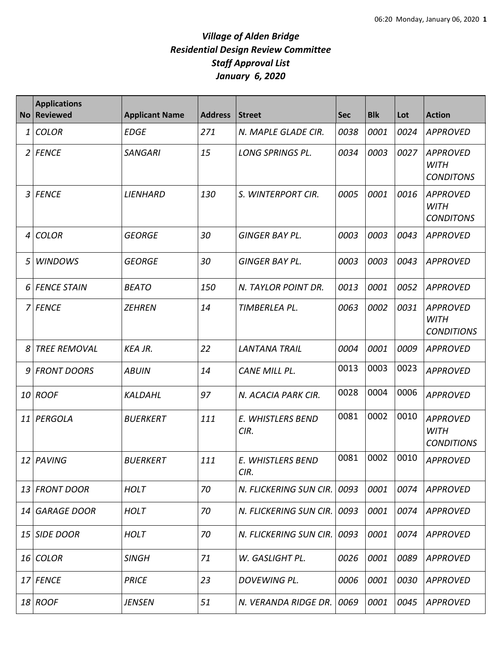## *Village of Alden Bridge Residential Design Review Committee Staff Approval List January 6, 2020*

|    | <b>Applications</b><br>No Reviewed | <b>Applicant Name</b> | <b>Address</b> | <b>Street</b>               | <b>Sec</b> | <b>Blk</b> | Lot  | <b>Action</b>                                       |
|----|------------------------------------|-----------------------|----------------|-----------------------------|------------|------------|------|-----------------------------------------------------|
| 1  | <b>COLOR</b>                       | <b>EDGE</b>           | 271            | N. MAPLE GLADE CIR.         | 0038       | 0001       | 0024 | <b>APPROVED</b>                                     |
|    | 2 FENCE                            | <b>SANGARI</b>        | 15             | LONG SPRINGS PL.            | 0034       | 0003       | 0027 | <b>APPROVED</b><br><b>WITH</b><br><b>CONDITONS</b>  |
|    | 3 FENCE                            | <b>LIENHARD</b>       | 130            | S. WINTERPORT CIR.          | 0005       | 0001       | 0016 | <b>APPROVED</b><br><b>WITH</b><br><b>CONDITONS</b>  |
| 4  | <b>COLOR</b>                       | <b>GEORGE</b>         | 30             | <b>GINGER BAY PL.</b>       | 0003       | 0003       | 0043 | APPROVED                                            |
| 5  | <b>WINDOWS</b>                     | <b>GEORGE</b>         | 30             | <b>GINGER BAY PL.</b>       | 0003       | 0003       | 0043 | <b>APPROVED</b>                                     |
|    | 6 FENCE STAIN                      | <b>BEATO</b>          | 150            | N. TAYLOR POINT DR.         | 0013       | 0001       | 0052 | <b>APPROVED</b>                                     |
|    | 7 FENCE                            | <b>ZEHREN</b>         | 14             | TIMBERLEA PL.               | 0063       | 0002       | 0031 | <b>APPROVED</b><br><b>WITH</b><br><b>CONDITIONS</b> |
|    | <b>TREE REMOVAL</b>                | <b>KEA JR.</b>        | 22             | <b>LANTANA TRAIL</b>        | 0004       | 0001       | 0009 | <b>APPROVED</b>                                     |
| 9  | <b>FRONT DOORS</b>                 | <b>ABUIN</b>          | 14             | CANE MILL PL.               | 0013       | 0003       | 0023 | <b>APPROVED</b>                                     |
| 10 | <b>ROOF</b>                        | <b>KALDAHL</b>        | 97             | N. ACACIA PARK CIR.         | 0028       | 0004       | 0006 | <b>APPROVED</b>                                     |
| 11 | PERGOLA                            | <b>BUERKERT</b>       | 111            | E. WHISTLERS BEND<br>CIR.   | 0081       | 0002       | 0010 | <b>APPROVED</b><br><b>WITH</b><br><b>CONDITIONS</b> |
|    | 12 PAVING                          | <b>BUERKERT</b>       | 111            | E. WHISTLERS BEND<br>CIR.   | 0081       | 0002       | 0010 | <b>APPROVED</b>                                     |
|    | 13 FRONT DOOR                      | <b>HOLT</b>           | 70             | N. FLICKERING SUN CIR. 0093 |            | 0001       | 0074 | APPROVED                                            |
|    | 14 GARAGE DOOR                     | <b>HOLT</b>           | 70             | N. FLICKERING SUN CIR.      | 0093       | 0001       | 0074 | <b>APPROVED</b>                                     |
| 15 | <b>SIDE DOOR</b>                   | <b>HOLT</b>           | 70             | N. FLICKERING SUN CIR.      | 0093       | 0001       | 0074 | <b>APPROVED</b>                                     |
|    | 16 COLOR                           | <b>SINGH</b>          | 71             | W. GASLIGHT PL.             | 0026       | 0001       | 0089 | APPROVED                                            |
|    | 17 FENCE                           | <b>PRICE</b>          | 23             | DOVEWING PL.                | 0006       | 0001       | 0030 | APPROVED                                            |
|    | 18 ROOF                            | <b>JENSEN</b>         | 51             | N. VERANDA RIDGE DR.        | 0069       | 0001       | 0045 | APPROVED                                            |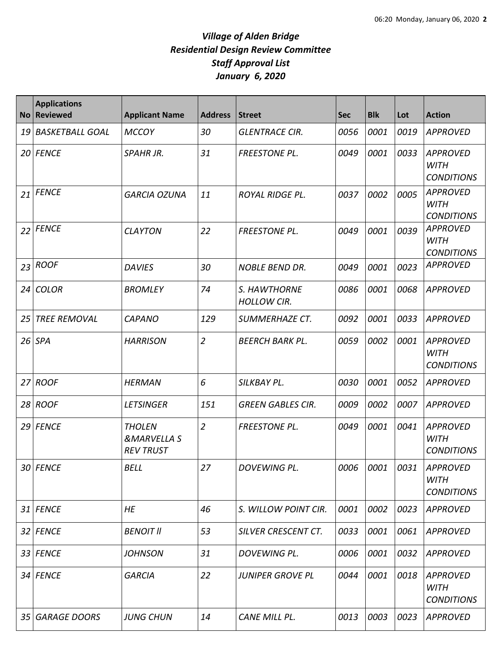## *Village of Alden Bridge Residential Design Review Committee Staff Approval List January 6, 2020*

|    | <b>Applications</b><br>No Reviewed | <b>Applicant Name</b>                                       | <b>Address</b> | <b>Street</b>                      | <b>Sec</b> | <b>Blk</b> | Lot  | <b>Action</b>                                       |
|----|------------------------------------|-------------------------------------------------------------|----------------|------------------------------------|------------|------------|------|-----------------------------------------------------|
| 19 | <b>BASKETBALL GOAL</b>             | <b>MCCOY</b>                                                | 30             | <b>GLENTRACE CIR.</b>              | 0056       | 0001       | 0019 | <b>APPROVED</b>                                     |
|    | 20 FENCE                           | <b>SPAHR JR.</b>                                            | 31             | <b>FREESTONE PL.</b>               | 0049       | 0001       | 0033 | <b>APPROVED</b><br><b>WITH</b><br><b>CONDITIONS</b> |
| 21 | <b>FENCE</b>                       | <b>GARCIA OZUNA</b>                                         | 11             | <b>ROYAL RIDGE PL.</b>             | 0037       | 0002       | 0005 | <b>APPROVED</b><br><b>WITH</b><br><b>CONDITIONS</b> |
| 22 | <b>FENCE</b>                       | <b>CLAYTON</b>                                              | 22             | <b>FREESTONE PL.</b>               | 0049       | 0001       | 0039 | <b>APPROVED</b><br><b>WITH</b><br><b>CONDITIONS</b> |
| 23 | <b>ROOF</b>                        | <b>DAVIES</b>                                               | 30             | <b>NOBLE BEND DR.</b>              | 0049       | 0001       | 0023 | <b>APPROVED</b>                                     |
| 24 | <b>COLOR</b>                       | <b>BROMLEY</b>                                              | 74             | S. HAWTHORNE<br><b>HOLLOW CIR.</b> | 0086       | 0001       | 0068 | <b>APPROVED</b>                                     |
| 25 | <b>TREE REMOVAL</b>                | <b>CAPANO</b>                                               | 129            | SUMMERHAZE CT.                     | 0092       | 0001       | 0033 | <b>APPROVED</b>                                     |
|    | $26$ SPA                           | <b>HARRISON</b>                                             | $\overline{2}$ | <b>BEERCH BARK PL.</b>             | 0059       | 0002       | 0001 | <b>APPROVED</b><br><b>WITH</b><br><b>CONDITIONS</b> |
| 27 | <b>ROOF</b>                        | HERMAN                                                      | 6              | SILKBAY PL.                        | 0030       | 0001       | 0052 | <b>APPROVED</b>                                     |
|    | 28 ROOF                            | <b>LETSINGER</b>                                            | 151            | <b>GREEN GABLES CIR.</b>           | 0009       | 0002       | 0007 | <b>APPROVED</b>                                     |
|    | 29 FENCE                           | <b>THOLEN</b><br><b>&amp;MARVELLA S</b><br><b>REV TRUST</b> | $\overline{2}$ | <b>FREESTONE PL.</b>               | 0049       | 0001       | 0041 | <b>APPROVED</b><br><b>WITH</b><br><b>CONDITIONS</b> |
|    | 30 FENCE                           | <b>BELL</b>                                                 | 27             | DOVEWING PL.                       | 0006       | 0001       | 0031 | <b>APPROVED</b><br><b>WITH</b><br><b>CONDITIONS</b> |
|    | 31 FENCE                           | HE                                                          | 46             | S. WILLOW POINT CIR.               | 0001       | 0002       | 0023 | <b>APPROVED</b>                                     |
|    | 32 FENCE                           | <b>BENOIT II</b>                                            | 53             | SILVER CRESCENT CT.                | 0033       | 0001       | 0061 | APPROVED                                            |
|    | 33 FENCE                           | <b>JOHNSON</b>                                              | 31             | DOVEWING PL.                       | 0006       | 0001       | 0032 | <b>APPROVED</b>                                     |
|    | 34 FENCE                           | <b>GARCIA</b>                                               | 22             | <b>JUNIPER GROVE PL</b>            | 0044       | 0001       | 0018 | <b>APPROVED</b><br><b>WITH</b><br><b>CONDITIONS</b> |
| 35 | <b>GARAGE DOORS</b>                | <b>JUNG CHUN</b>                                            | 14             | CANE MILL PL.                      | 0013       | 0003       | 0023 | <b>APPROVED</b>                                     |